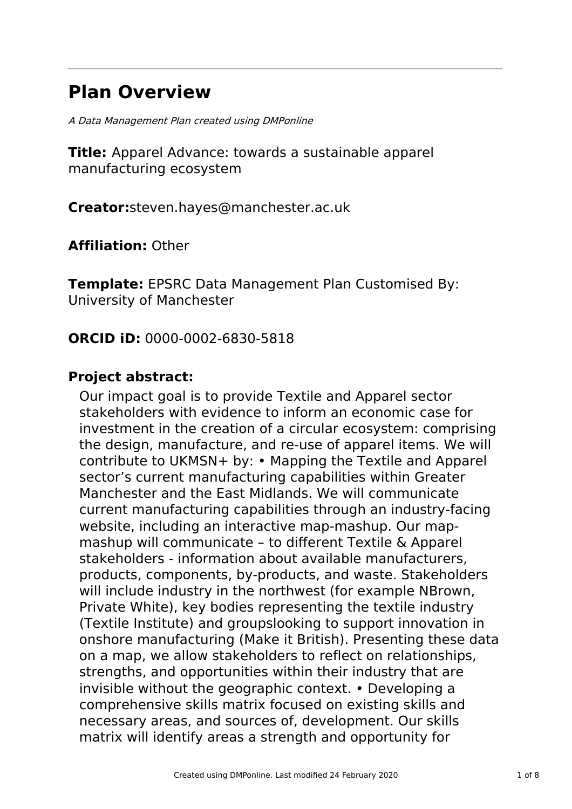# **Plan Overview**

A Data Management Plan created using DMPonline

**Title:** Apparel Advance: towards a sustainable apparel manufacturing ecosystem

**Creator:**steven.hayes@manchester.ac.uk

**Affiliation:** Other

**Template:** EPSRC Data Management Plan Customised By: University of Manchester

# **ORCID iD:** 0000-0002-6830-5818

# **Project abstract:**

Our impact goal is to provide Textile and Apparel sector stakeholders with evidence to inform an economic case for investment in the creation of a circular ecosystem: comprising the design, manufacture, and re-use of apparel items. We will contribute to UKMSN+ by: • Mapping the Textile and Apparel sector's current manufacturing capabilities within Greater Manchester and the East Midlands. We will communicate current manufacturing capabilities through an industry-facing website, including an interactive map-mashup. Our mapmashup will communicate – to different Textile & Apparel stakeholders - information about available manufacturers, products, components, by-products, and waste. Stakeholders will include industry in the northwest (for example NBrown, Private White), key bodies representing the textile industry (Textile Institute) and groupslooking to support innovation in onshore manufacturing (Make it British). Presenting these data on a map, we allow stakeholders to reflect on relationships, strengths, and opportunities within their industry that are invisible without the geographic context. • Developing a comprehensive skills matrix focused on existing skills and necessary areas, and sources of, development. Our skills matrix will identify areas a strength and opportunity for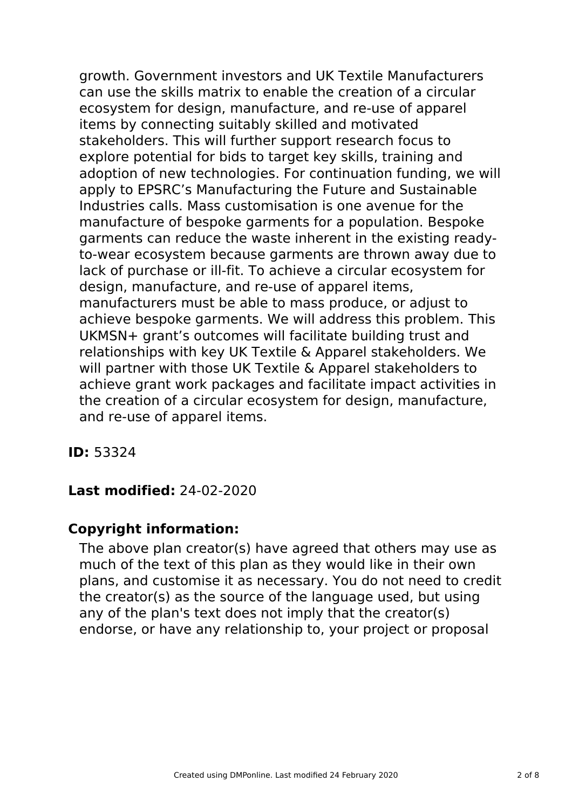growth. Government investors and UK Textile Manufacturers can use the skills matrix to enable the creation of a circular ecosystem for design, manufacture, and re-use of apparel items by connecting suitably skilled and motivated stakeholders. This will further support research focus to explore potential for bids to target key skills, training and adoption of new technologies. For continuation funding, we will apply to EPSRC's Manufacturing the Future and Sustainable Industries calls. Mass customisation is one avenue for the manufacture of bespoke garments for a population. Bespoke garments can reduce the waste inherent in the existing readyto-wear ecosystem because garments are thrown away due to lack of purchase or ill-fit. To achieve a circular ecosystem for design, manufacture, and re-use of apparel items, manufacturers must be able to mass produce, or adjust to achieve bespoke garments. We will address this problem. This UKMSN+ grant's outcomes will facilitate building trust and relationships with key UK Textile & Apparel stakeholders. We will partner with those UK Textile & Apparel stakeholders to achieve grant work packages and facilitate impact activities in the creation of a circular ecosystem for design, manufacture, and re-use of apparel items.

**ID:** 53324

# **Last modified:** 24-02-2020

# **Copyright information:**

The above plan creator(s) have agreed that others may use as much of the text of this plan as they would like in their own plans, and customise it as necessary. You do not need to credit the creator(s) as the source of the language used, but using any of the plan's text does not imply that the creator(s) endorse, or have any relationship to, your project or proposal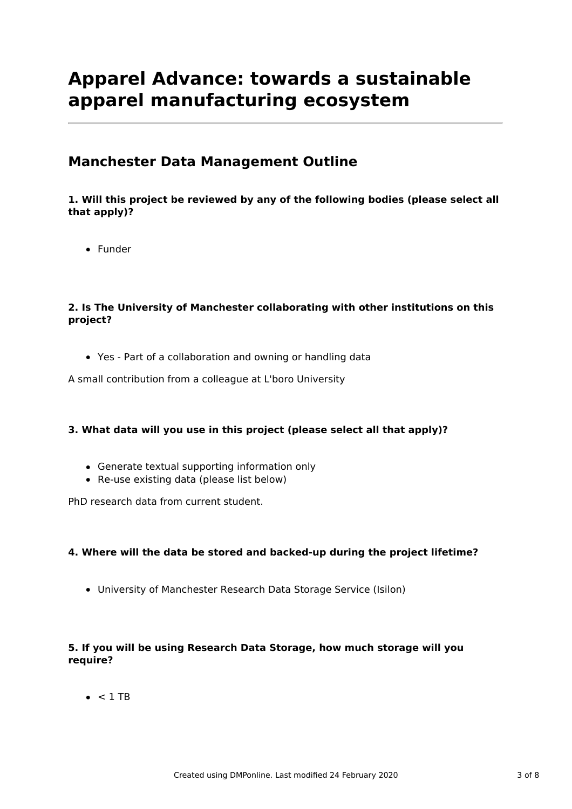# **Apparel Advance: towards a sustainable apparel manufacturing ecosystem**

# **Manchester Data Management Outline**

### **1. Will this project be reviewed by any of the following bodies (please select all that apply)?**

• Funder

### **2. Is The University of Manchester collaborating with other institutions on this project?**

Yes - Part of a collaboration and owning or handling data

A small contribution from a colleague at L'boro University

### **3. What data will you use in this project (please select all that apply)?**

- Generate textual supporting information only
- Re-use existing data (please list below)

PhD research data from current student.

### **4. Where will the data be stored and backed-up during the project lifetime?**

University of Manchester Research Data Storage Service (Isilon)

### **5. If you will be using Research Data Storage, how much storage will you require?**

 $\bullet$  < 1 TB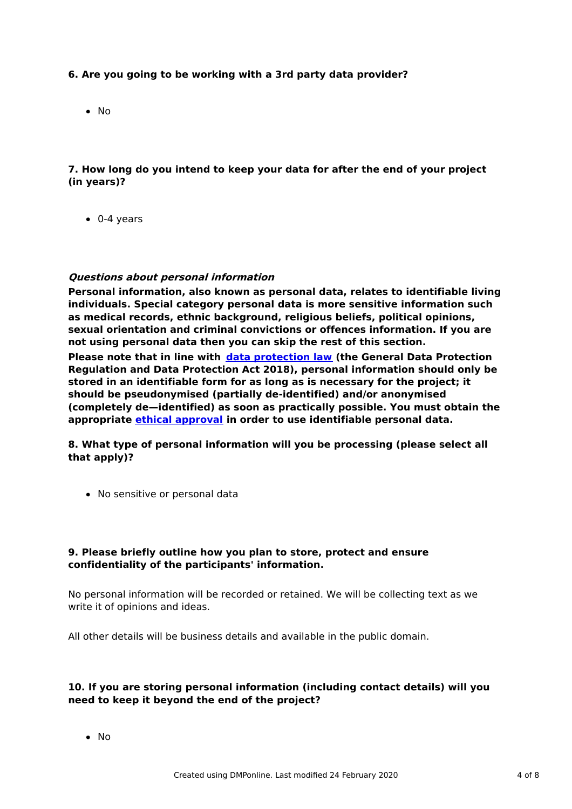### **6. Are you going to be working with a 3rd party data provider?**

• No

### **7. How long do you intend to keep your data for after the end of your project (in years)?**

0-4 years

#### **Questions about personal information**

**Personal information, also known as personal data, relates to identifiable living individuals. Special category personal data is more sensitive information such as medical records, ethnic background, religious beliefs, political opinions, sexual orientation and criminal convictions or offences information. If you are not using personal data then you can skip the rest of this section. Please note that in line with data [protection](http://www.staffnet.manchester.ac.uk/igo/data-protection/what-is-data-protection/) law (the General Data Protection Regulation and Data Protection Act 2018), personal information should only be stored in an identifiable form for as long as is necessary for the project; it should be pseudonymised (partially de-identified) and/or anonymised (completely de—identified) as soon as practically possible. You must obtain the**

**8. What type of personal information will you be processing (please select all that apply)?**

**appropriate ethical [approval](http://www.staffnet.manchester.ac.uk/services/rbess/governance/ethics/new-online-system-for-ethics-review-erm/) in order to use identifiable personal data.**

• No sensitive or personal data

#### **9. Please briefly outline how you plan to store, protect and ensure confidentiality of the participants' information.**

No personal information will be recorded or retained. We will be collecting text as we write it of opinions and ideas.

All other details will be business details and available in the public domain.

#### **10. If you are storing personal information (including contact details) will you need to keep it beyond the end of the project?**

• No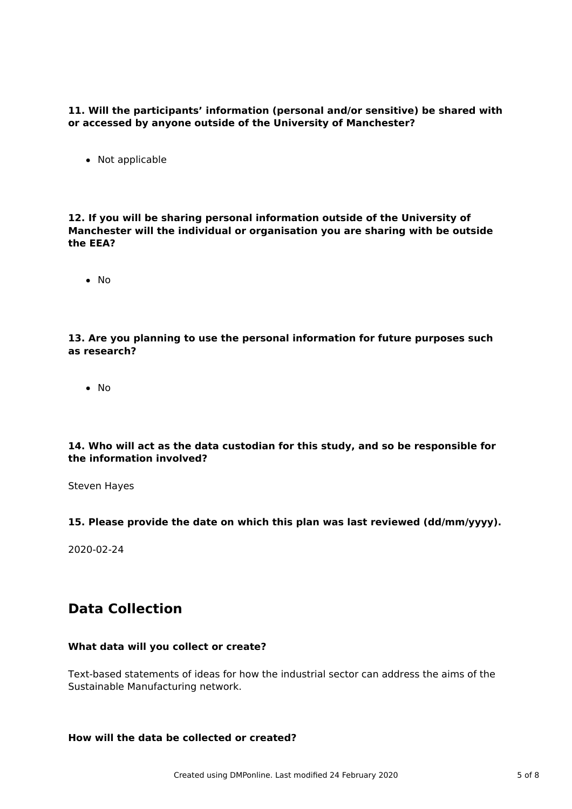**11. Will the participants' information (personal and/or sensitive) be shared with or accessed by anyone outside of the University of Manchester?**

• Not applicable

**12. If you will be sharing personal information outside of the University of Manchester will the individual or organisation you are sharing with be outside the EEA?**

 $\bullet$  No

#### **13. Are you planning to use the personal information for future purposes such as research?**

 $\bullet$  No

#### **14. Who will act as the data custodian for this study, and so be responsible for the information involved?**

Steven Hayes

#### **15. Please provide the date on which this plan was last reviewed (dd/mm/yyyy).**

2020-02-24

# **Data Collection**

#### **What data will you collect or create?**

Text-based statements of ideas for how the industrial sector can address the aims of the Sustainable Manufacturing network.

#### **How will the data be collected or created?**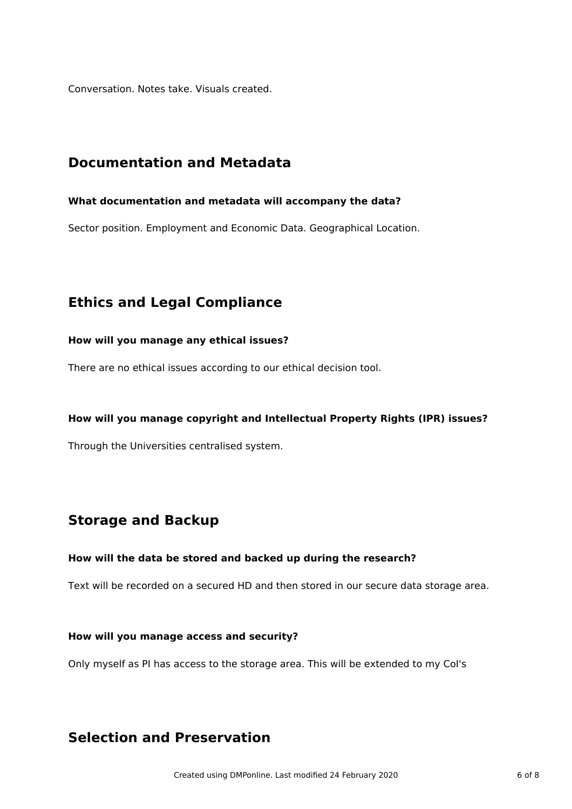Conversation. Notes take. Visuals created.

## **Documentation and Metadata**

#### **What documentation and metadata will accompany the data?**

Sector position. Employment and Economic Data. Geographical Location.

# **Ethics and Legal Compliance**

#### **How will you manage any ethical issues?**

There are no ethical issues according to our ethical decision tool.

#### **How will you manage copyright and Intellectual Property Rights (IPR) issues?**

Through the Universities centralised system.

# **Storage and Backup**

#### **How will the data be stored and backed up during the research?**

Text will be recorded on a secured HD and then stored in our secure data storage area.

#### **How will you manage access and security?**

Only myself as PI has access to the storage area. This will be extended to my CoI's

# **Selection and Preservation**